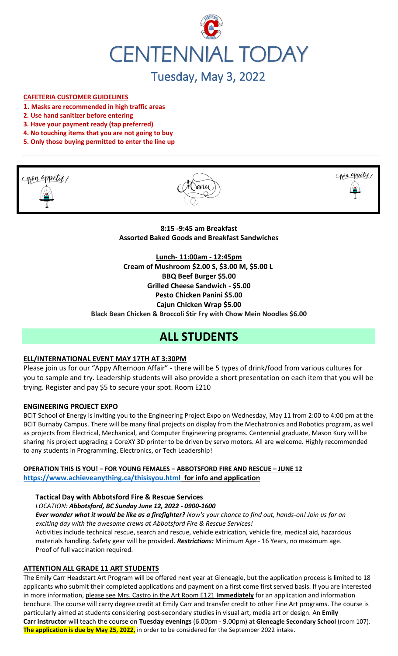

# Tuesday, May 3, 2022

#### **CAFETERIA CUSTOMER GUIDELINES**

- **1. Masks are recommended in high traffic areas**
- **2. Use hand sanitizer before entering**
- **3. Have your payment ready (tap preferred)**
- **4. No touching items that you are not going to buy**
- **5. Only those buying permitted to enter the line up**







**8:15 -9:45 am Breakfast Assorted Baked Goods and Breakfast Sandwiches**

**Lunch- 11:00am - 12:45pm Cream of Mushroom \$2.00 S, \$3.00 M, \$5.00 L BBQ Beef Burger \$5.00 Grilled Cheese Sandwich - \$5.00 Pesto Chicken Panini \$5.00 Cajun Chicken Wrap \$5.00 Black Bean Chicken & Broccoli Stir Fry with Chow Mein Noodles \$6.00**

## **ALL STUDENTS**

#### **ELL/INTERNATIONAL EVENT MAY 17TH AT 3:30PM**

Please join us for our "Appy Afternoon Affair" - there will be 5 types of drink/food from various cultures for you to sample and try. Leadership students will also provide a short presentation on each item that you will be trying. Register and pay \$5 to secure your spot. Room E210

#### **ENGINEERING PROJECT EXPO**

BCIT School of Energy is inviting you to the Engineering Project Expo on Wednesday, May 11 from 2:00 to 4:00 pm at the BCIT Burnaby Campus. There will be many final projects on display from the Mechatronics and Robotics program, as well as projects from Electrical, Mechanical, and Computer Engineering programs. Centennial graduate, Mason Kury will be sharing his project upgrading a CoreXY 3D printer to be driven by servo motors. All are welcome. Highly recommended to any students in Programming, Electronics, or Tech Leadership!

**OPERATION THIS IS YOU! – FOR YOUNG FEMALES – ABBOTSFORD FIRE AND RESCUE – JUNE 12 <https://www.achieveanything.ca/thisisyou.html> for info and application**

#### **Tactical Day with Abbotsford Fire & Rescue Services**

*LOCATION: Abbotsford, BC Sunday June 12, 2022 - 0900-1600*

*Ever wonder what it would be like as a firefighter? Now's your chance to find out, hands-on! Join us for an exciting day with the awesome crews at Abbotsford Fire & Rescue Services!* 

Activities include technical rescue, search and rescue, vehicle extrication, vehicle fire, medical aid, hazardous materials handling. Safety gear will be provided. *Restrictions:* Minimum Age - 16 Years, no maximum age. Proof of full vaccination required.

#### **ATTENTION ALL GRADE 11 ART STUDENTS**

The Emily Carr Headstart Art Program will be offered next year at Gleneagle, but the application process is limited to 18 applicants who submit their completed applications and payment on a first come first served basis. If you are interested in more information, please see Mrs. Castro in the Art Room E121 **Immediately** for an application and information brochure. The course will carry degree credit at Emily Carr and transfer credit to other Fine Art programs. The course is particularly aimed at students considering post-secondary studies in visual art, media art or design. An **Emily Carr instructor** will teach the course on **Tuesday evenings** (6.00pm - 9.00pm) at **Gleneagle Secondary School** (room 107). **The application is due by May 25, 2022,** in order to be considered for the September 2022 intake.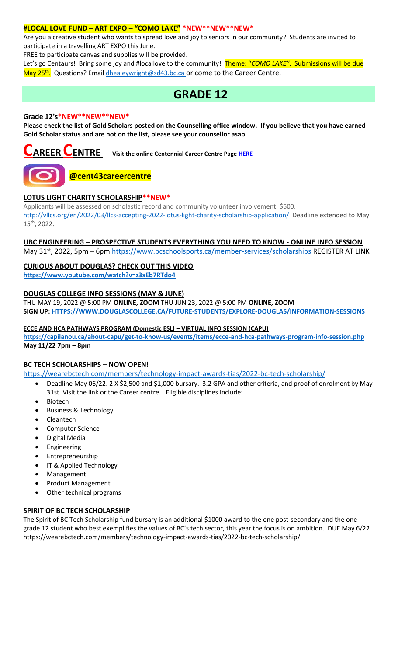#### **#LOCAL LOVE FUND – ART EXPO – "COMO LAKE" \*NEW\*\*NEW\*\*NEW\***

Are you a creative student who wants to spread love and joy to seniors in our community? Students are invited to participate in a travelling ART EXPO this June.

FREE to participate canvas and supplies will be provided.

Let's go Centaurs! Bring some joy and #locallove to the community! Theme: "*COMO LAKE"*. Submissions will be due May 25<sup>th</sup>. Questions? Emai[l dhealeywright@sd43.bc.ca](mailto:dhealeywright@sd43.bc.ca) or come to the Career Centre.

### **GRADE 12**

#### **Grade 12's\*NEW\*\*NEW\*\*NEW\***

**Please check the list of Gold Scholars posted on the Counselling office window. If you believe that you have earned Gold Scholar status and are not on the list, please see your counsellor asap.**



**CAREER CENTRE Visit the online Centennial Career Centre Page [HERE](https://www.sd43.bc.ca/school/centennial/ProgramsServices/CareerCentre/experiences/Pages/default.aspx#/=)**



### **@cent43careercentre**

#### **LOTUS LIGHT CHARITY SCHOLARSHIP\*\*NEW\***

Applicants will be assessed on scholastic record and community volunteer involvement. \$500. <http://vllcs.org/en/2022/03/llcs-accepting-2022-lotus-light-charity-scholarship-application/> Deadline extended to May 15th, 2022.

#### **UBC ENGINEERING – PROSPECTIVE STUDENTS EVERYTHING YOU NEED TO KNOW - ONLINE INFO SESSION**

May 31<sup>st</sup>, 2022, 5pm – 6pm<https://www.bcschoolsports.ca/member-services/scholarships> REGISTER AT LINK

#### **CURIOUS ABOUT DOUGLAS? CHECK OUT THIS VIDEO**

**<https://www.youtube.com/watch?v=z3xEb7RTdo4>**

#### **DOUGLAS COLLEGE INFO SESSIONS (MAY & JUNE)**

THU MAY 19, 2022 @ 5:00 PM **ONLINE, ZOOM** THU JUN 23, 2022 @ 5:00 PM **ONLINE, ZOOM SIGN UP[: HTTPS://WWW.DOUGLASCOLLEGE.CA/FUTURE-STUDENTS/EXPLORE-DOUGLAS/INFORMATION-SESSIONS](https://www.douglascollege.ca/future-students/explore-douglas/information-sessions)**

#### **ECCE AND HCA PATHWAYS PROGRAM (Domestic ESL) – VIRTUAL INFO SESSION (CAPU)**

**<https://capilanou.ca/about-capu/get-to-know-us/events/items/ecce-and-hca-pathways-program-info-session.php> May 11/22 7pm – 8pm**

#### **BC TECH SCHOLARSHIPS – NOW OPEN!**

[https://wearebctech.com/members/technology-impact-awards-tias/2022-bc-tech-scholarship/](file://///d00-v02-p01/Shared_Data/076/Staff_Shared/Office/centennial%20today/Centennial%20Today%202021-2022/April%202022/​https:/wearebctech.com/members/technology-impact-awards-tias/2022-bc-tech-scholarship/)

- Deadline May 06/22. 2 X \$2,500 and \$1,000 bursary. 3.2 GPA and other criteria, and proof of enrolment by May 31st. Visit the link or the Career centre. Eligible disciplines include:
- Biotech
- Business & Technology
- **Cleantech**
- Computer Science
- Digital Media
- **Engineering**
- **Entrepreneurship**
- IT & Applied Technology
- Management
- Product Management
- Other technical programs

#### **SPIRIT OF BC TECH SCHOLARSHIP**

The Spirit of BC Tech Scholarship fund bursary is an additional \$1000 award to the one post-secondary and the one grade 12 student who best exemplifies the values of BC's tech sector, this year the focus is on ambition. DUE May 6/2[2](https://wearebctech.com/members/technology-impact-awards-tias/2022-bc-tech-scholarship/) <https://wearebctech.com/members/technology-impact-awards-tias/2022-bc-tech-scholarship/>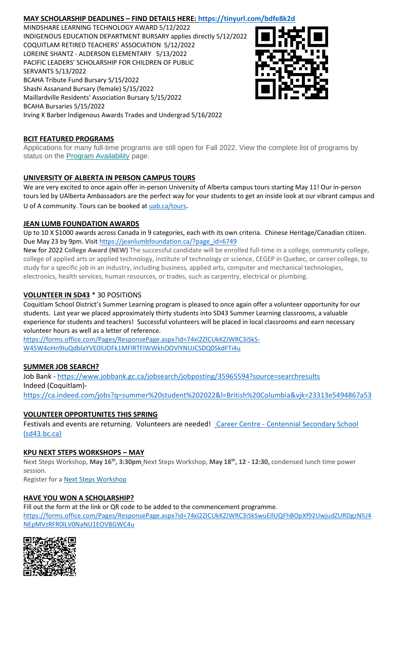#### **MAY SCHOLARSHIP DEADLINES – FIND DETAILS HERE:<https://tinyurl.com/bdfe8k2d>**

MINDSHARE LEARNING TECHNOLOGY AWARD 5/12/2022 INDIGENOUS EDUCATION DEPARTMENT BURSARY applies directly 5/12/2022 COQUITLAM RETIRED TEACHERS' ASSOCIATION 5/12/2022 LOREINE SHANTZ - ALDERSON ELEMENTARY 5/13/2022 PACIFIC LEADERS' SCHOLARSHIP FOR CHILDREN OF PUBLIC SERVANTS 5/13/2022 BCAHA Tribute Fund Bursary 5/15/2022 Shashi Assanand Bursary (female) 5/15/2022 Maillardville Residents' Association Bursary 5/15/2022 BCAHA Bursaries 5/15/2022 Irving K Barber Indigenous Awards Trades and Undergrad 5/16/2022



#### **BCIT FEATURED PROGRAMS**

Applications for many full-time programs are still open for Fall 2022. View the complete list of programs by status on the **[Program Availability](https://bcit.us8.list-manage.com/track/click?u=daf05330755626307efc8f07f&id=4d4ed36616&e=b29846f095)** page.

#### **UNIVERSITY OF ALBERTA IN PERSON CAMPUS TOURS**

We are very excited to once again offer in-person University of Alberta campus tours starting May 11! Our in-person tours led by UAlberta Ambassadors are the perfect way for your students to get an inside look at our vibrant campus and U of A community. Tours can be booked at [uab.ca/tours](https://mx.technolutions.net/ss/c/gsby7xed_Q9kJKoUKuDGdBFBFhSssENYnEfiUuIzPCfFN0X3A85kPAIgyq7RiYgwd5ks3dapUcNxO2ND8vSVBYrkONj16vS1goC-KNmxqyzPGiP84ZPhBolxXehOVvJJoIydTyO79MzKzKWEvLKFkm_yV9EI63wdit-4TgQQwdxB7q-F7wKO6B1l7qPTTQqEY4-sfMYxk0jPxb8_vnjcU8J1KalNzAYWqvZsue4RhUs/3li/fiXawEMdS5CpVDRHZJ_kGA/h1/NOtRtynrGGfbhYYaY88O-aXOwt_ymLOenqdLtTeBrnQ).

#### **JEAN LUMB FOUNDATION AWARDS**

Up to 10 X \$1000 awards across Canada in 9 categories, each with its own criteria. Chinese Heritage/Canadian citizen. Due May 23 by 9pm. Visi[t https://jeanlumbfoundation.ca/?page\\_id=6749](https://jeanlumbfoundation.ca/?page_id=6749)

New for 2022 **College Award (NEW)** The successful candidate will be enrolled full-time in a college, community college, college of applied arts or applied technology, institute of technology or science, CEGEP in Quebec, or career college, to study for a specific job in an industry, including business, applied arts, computer and mechanical technologies, electronics, health services, human resources, or trades, such as carpentry, electrical or plumbing.

#### **VOLUNTEER IN SD43** \* 30 POSITIONS

Coquitlam School District's Summer Learning program is pleased to once again offer a volunteer opportunity for our students. Last year we placed approximately thirty students into SD43 Summer Learning classrooms, a valuable experience for students and teachers! Successful volunteers will be placed in local classrooms and earn necessary volunteer hours as well as a letter of reference.

[https://forms.office.com/Pages/ResponsePage.aspx?id=74xl2ZICUkKZJWRC3iSkS-](https://forms.office.com/Pages/ResponsePage.aspx?id=74xl2ZICUkKZJWRC3iSkS-W45W4oHn9IuQdblaYVE0lUOFk1MFlRTFlWWkhOOVlYNUJCSDQ0SkdFTi4u)[W45W4oHn9IuQdblaYVE0lUOFk1MFlRTFlWWkhOOVlYNUJCSDQ0SkdFTi4u](https://forms.office.com/Pages/ResponsePage.aspx?id=74xl2ZICUkKZJWRC3iSkS-W45W4oHn9IuQdblaYVE0lUOFk1MFlRTFlWWkhOOVlYNUJCSDQ0SkdFTi4u)

#### **SUMMER JOB SEARCH?**

Job Bank - <https://www.jobbank.gc.ca/jobsearch/jobposting/35965594?source=searchresults> Indeed (Coquitlam) <https://ca.indeed.com/jobs?q=summer%20student%202022&l=British%20Columbia&vjk=23313e5494867a53>

#### **VOLUNTEER OPPORTUNITES THIS SPRING**

Festivals and events are returning. Volunteers are needed! Career Centre - Centennial Secondary School [\(sd43.bc.ca\)](https://www.sd43.bc.ca/school/centennial/ProgramsServices/CareerCentre/experiences/Pages/default.aspx#/=)

#### **KPU NEXT STEPS WORKSHOPS – MAY**

Next Steps Workshop, **May 16th, 3:30pm** Next Steps Workshop, **May 18th, 12 - 12:30,** condensed lunch time power session.

Register for a **[Next Steps Workshop](http://crm-link.kpu.ca/c/7/eyJhaSI6MTY0ODQwMjEsImUiOiJkaGVhbGV5d3JpZ2h0QHNkNDMuYmMuY2EiLCJyaSI6ImNvbnRhY3QtNGZkMzgzYmJkZmY3ZWExMWE4MTUwMDBkM2EwYzhjNmQtZDI5MWU3MGZkMWYyNDJlYjk5OGU2OTFmYjc2ZGZmMjMiLCJycSI6IjAyLWIyMjEwMy0zOTg5OTViYTI1NGQ0NDE2YjBlMDQyODJkZjY3MTlhNiIsInBoIjpudWxsLCJtIjpmYWxzZSwidWkiOiIyIiwidW4iOiIiLCJ1IjoiaHR0cHM6Ly93d3cua3B1LmNhL2luZm8tc2Vzc2lvbnMvZnV0dXJlLXN0dWRlbnRzL25leHQtc3RlcHMvbWF5LTIwMjI_X2NsZGVlPVpNTFlTR1BPYXdvdUI0T0xzQnBsUHZFU0g1eUhvbnhCQlpuNFlnYzRINkV6V0ZWOVpLUWpKTmxic0hFM3RVQmImcmVjaXBpZW50aWQ9Y29udGFjdC00ZmQzODNiYmRmZjdlYTExYTgxNTAwMGQzYTBjOGM2ZC1kMjkxZTcwZmQxZjI0MmViOTk4ZTY5MWZiNzZkZmYyMyZlc2lkPTFkZmIzOThiLTRiYmItZWMxMS05ODNmLTAwMjI0ODNjYzE1YSJ9/SBu6RJHIXI6GRb2GoyGQMA)** 

#### **HAVE YOU WON A SCHOLARSHIP?**

Fill out the form at the link or QR code to be added to the commencement programme. [https://forms.office.com/Pages/ResponsePage.aspx?id=74xl2ZICUkKZJWRC3iSkSwuEIlUQFhBOpXf92UwjudZURDgzNlU4](https://forms.office.com/Pages/ResponsePage.aspx?id=74xl2ZICUkKZJWRC3iSkSwuEIlUQFhBOpXf92UwjudZURDgzNlU4NEpMVzRFR0lLV0NaNU1EOVBGWC4u) [NEpMVzRFR0lLV0NaNU1EOVBGWC4u](https://forms.office.com/Pages/ResponsePage.aspx?id=74xl2ZICUkKZJWRC3iSkSwuEIlUQFhBOpXf92UwjudZURDgzNlU4NEpMVzRFR0lLV0NaNU1EOVBGWC4u)